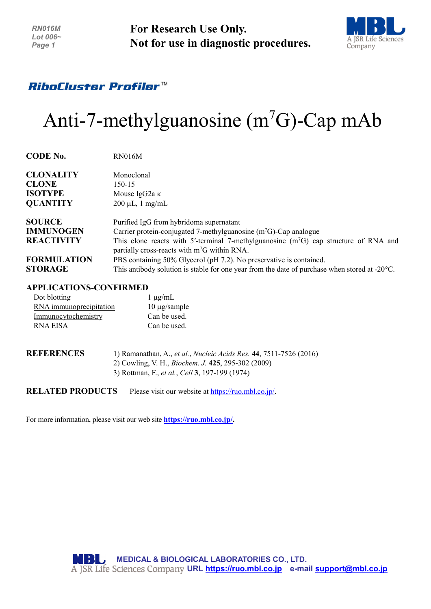**For Research Use Only. Not for use in diagnostic procedures.**



## RiboCluster Profiler™

# Anti-7-methylguanosine  $(m<sup>7</sup>G)$ -Cap mAb

| <b>CODE No.</b>    | <b>RN016M</b>                                                                                                                            |
|--------------------|------------------------------------------------------------------------------------------------------------------------------------------|
| <b>CLONALITY</b>   | Monoclonal                                                                                                                               |
| <b>CLONE</b>       | $150-15$                                                                                                                                 |
| <b>ISOTYPE</b>     | Mouse IgG2a $\kappa$                                                                                                                     |
| <b>QUANTITY</b>    | $200 \mu L$ , 1 mg/mL                                                                                                                    |
| <b>SOURCE</b>      | Purified IgG from hybridoma supernatant                                                                                                  |
| <b>IMMUNOGEN</b>   | Carrier protein-conjugated 7-methylguanosine $(m7G)$ -Cap analogue                                                                       |
| <b>REACTIVITY</b>  | This clone reacts with 5'-terminal 7-methylguanosine ( $m7G$ ) cap structure of RNA and<br>partially cross-reacts with $m7G$ within RNA. |
| <b>FORMULATION</b> | PBS containing 50% Glycerol (pH 7.2). No preservative is contained.                                                                      |
| <b>STORAGE</b>     | This antibody solution is stable for one year from the date of purchase when stored at $-20^{\circ}$ C.                                  |

#### **APPLICATIONS-CONFIRMED**

| Dot blotting            | $1 \mu g/mL$      |
|-------------------------|-------------------|
| RNA immunoprecipitation | $10 \mu$ g/sample |
| Immunocytochemistry     | Can be used.      |
| RNA EISA                | Can be used.      |

| <b>REFERENCES</b> | 1) Ramanathan, A., et al., Nucleic Acids Res. 44, 7511-7526 (2016)    |
|-------------------|-----------------------------------------------------------------------|
|                   | 2) Cowling, V. H., <i>Biochem. J.</i> 425, 295-302 (2009)             |
|                   | 3) Rottman, F., <i>et al.</i> , <i>Cell</i> <b>3</b> , 197-199 (1974) |
|                   |                                                                       |

**RELATED PRODUCTS** Please visit our website at [https://ruo.mbl.co.jp/.](https://ruo.mbl.co.jp/)

For more information, please visit our web site **[https://ruo.mbl.co.jp/.](https://ruo.mbl.co.jp/)**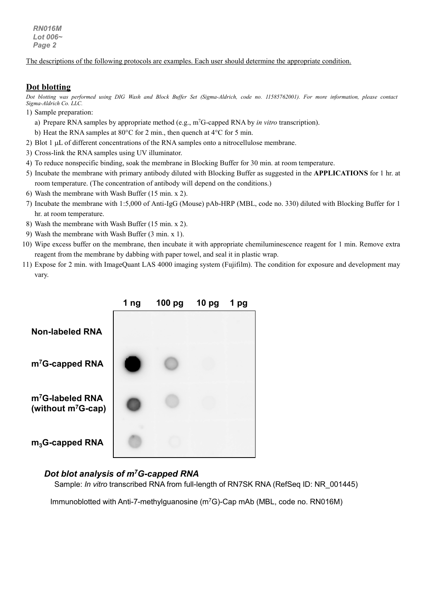*RN016M Lot 006~ Page 2*

The descriptions of the following protocols are examples. Each user should determine the appropriate condition.

#### **Dot blotting**

*Dot blotting was performed using DIG Wash and Block Buffer Set (Sigma-Aldrich, code no. 11585762001). For more information, please contact Sigma-Aldrich Co. LLC.*

- 1) Sample preparation:
	- a) Prepare RNA samples by appropriate method (e.g., m<sup>7</sup>G-capped RNA by *in vitro* transcription).
	- b) Heat the RNA samples at 80°C for 2 min., then quench at 4°C for 5 min.
- 2) Blot 1 µL of different concentrations of the RNA samples onto a nitrocellulose membrane.
- 3) Cross-link the RNA samples using UV illuminator.
- 4) To reduce nonspecific binding, soak the membrane in Blocking Buffer for 30 min. at room temperature.
- 5) Incubate the membrane with primary antibody diluted with Blocking Buffer as suggested in the **APPLICATIONS** for 1 hr. at room temperature. (The concentration of antibody will depend on the conditions.)
- 6) Wash the membrane with Wash Buffer (15 min. x 2).
- 7) Incubate the membrane with 1:5,000 of Anti-IgG (Mouse) pAb-HRP (MBL, code no. 330) diluted with Blocking Buffer for 1 hr. at room temperature.
- 8) Wash the membrane with Wash Buffer (15 min. x 2).
- 9) Wash the membrane with Wash Buffer (3 min. x 1).
- 10) Wipe excess buffer on the membrane, then incubate it with appropriate chemiluminescence reagent for 1 min. Remove extra reagent from the membrane by dabbing with paper towel, and seal it in plastic wrap.
- 11) Expose for 2 min. with ImageQuant LAS 4000 imaging system (Fujifilm). The condition for exposure and development may vary.



#### *Dot blot analysis of m7G-capped RNA*

Sample: *In vitro* transcribed RNA from full-length of RN7SK RNA (RefSeq ID: NR\_001445)

Immunoblotted with Anti-7-methylguanosine (m7G)-Cap mAb (MBL, code no. RN016M)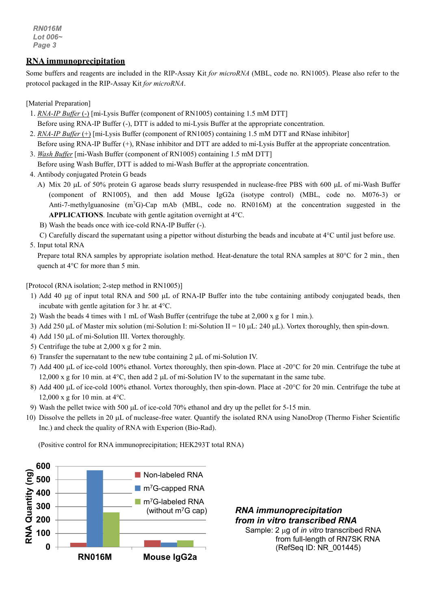*RN016M Lot 006~ Page 3*

#### **RNA immunoprecipitation**

Some buffers and reagents are included in the RIP-Assay Kit *for microRNA* (MBL, code no. RN1005). Please also refer to the protocol packaged in the RIP-Assay Kit *for microRNA*.

[Material Preparation]

- 1. *RNA-IP Buffer* (-) [mi-Lysis Buffer (component of RN1005) containing 1.5 mM DTT] Before using RNA-IP Buffer (-), DTT is added to mi-Lysis Buffer at the appropriate concentration.
- 2. *RNA-IP Buffer* (+) [mi-Lysis Buffer (component of RN1005) containing 1.5 mM DTT and RNase inhibitor] Before using RNA-IP Buffer (+), RNase inhibitor and DTT are added to mi-Lysis Buffer at the appropriate concentration.
- 3. *Wash Buffer* [mi-Wash Buffer (component of RN1005) containing 1.5 mM DTT] Before using Wash Buffer, DTT is added to mi-Wash Buffer at the appropriate concentration.
- 4. Antibody conjugated Protein G beads
	- A) Mix 20 µL of 50% protein G agarose beads slurry resuspended in nuclease-free PBS with 600 µL of mi-Wash Buffer (component of RN1005), and then add Mouse IgG2a (isotype control) (MBL, code no. M076-3) or Anti-7-methylguanosine (m<sup>7</sup>G)-Cap mAb (MBL, code no. RN016M) at the concentration suggested in the **APPLICATIONS**. Incubate with gentle agitation overnight at 4°C.
	- B) Wash the beads once with ice-cold RNA-IP Buffer (-).
	- C) Carefully discard the supernatant using a pipettor without disturbing the beads and incubate at 4°C until just before use.
- 5. Input total RNA

Prepare total RNA samples by appropriate isolation method. Heat-denature the total RNA samples at 80°C for 2 min., then quench at 4°C for more than 5 min.

[Protocol (RNA isolation; 2-step method in RN1005)]

- 1) Add 40 µg of input total RNA and 500 µL of RNA-IP Buffer into the tube containing antibody conjugated beads, then incubate with gentle agitation for 3 hr. at 4°C.
- 2) Wash the beads 4 times with 1 mL of Wash Buffer (centrifuge the tube at 2,000 x g for 1 min.).
- 3) Add 250  $\mu$ L of Master mix solution (mi-Solution I: mi-Solution II = 10  $\mu$ L: 240  $\mu$ L). Vortex thoroughly, then spin-down.
- 4) Add 150 µL of mi-Solution III. Vortex thoroughly.
- 5) Centrifuge the tube at 2,000 x g for 2 min.
- 6) Transfer the supernatant to the new tube containing 2 µL of mi-Solution IV.
- 7) Add 400 µL of ice-cold 100% ethanol. Vortex thoroughly, then spin-down. Place at -20°C for 20 min. Centrifuge the tube at 12,000 x g for 10 min. at  $4^{\circ}$ C, then add 2  $\mu$ L of mi-Solution IV to the supernatant in the same tube.
- 8) Add 400 µL of ice-cold 100% ethanol. Vortex thoroughly, then spin-down. Place at -20°C for 20 min. Centrifuge the tube at 12,000 x g for 10 min. at  $4^{\circ}$ C.
- 9) Wash the pellet twice with 500 µL of ice-cold 70% ethanol and dry up the pellet for 5-15 min.
- 10) Dissolve the pellets in 20  $\mu$ L of nuclease-free water. Quantify the isolated RNA using NanoDrop (Thermo Fisher Scientific Inc.) and check the quality of RNA with Experion (Bio-Rad).

(Positive control for RNA immunoprecipitation; HEK293T total RNA)



*RNA immunoprecipitation from in vitro transcribed RNA* Sample: 2 µg of *in vitro* transcribed RNA from full-length of RN7SK RNA